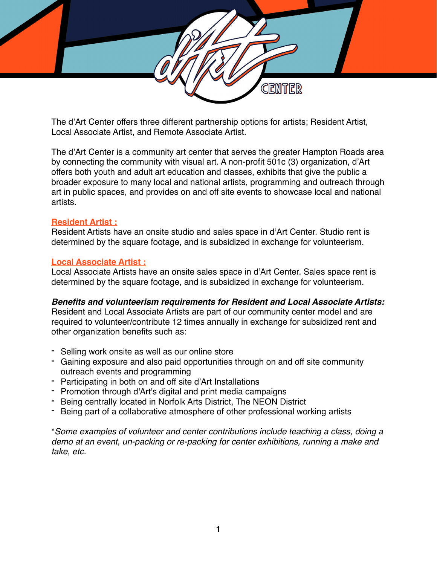

The d'Art Center offers three different partnership options for artists; Resident Artist, Local Associate Artist, and Remote Associate Artist.

The d'Art Center is a community art center that serves the greater Hampton Roads area by connecting the community with visual art. A non-profit 501c (3) organization, d'Art offers both youth and adult art education and classes, exhibits that give the public a broader exposure to many local and national artists, programming and outreach through art in public spaces, and provides on and off site events to showcase local and national artists.

## **Resident Artist :**

Resident Artists have an onsite studio and sales space in d'Art Center. Studio rent is determined by the square footage, and is subsidized in exchange for volunteerism.

#### **Local Associate Artist :**

Local Associate Artists have an onsite sales space in d'Art Center. Sales space rent is determined by the square footage, and is subsidized in exchange for volunteerism.

## *Benefits and volunteerism requirements for Resident and Local Associate Artists:*

Resident and Local Associate Artists are part of our community center model and are required to volunteer/contribute 12 times annually in exchange for subsidized rent and other organization benefits such as:

- Selling work onsite as well as our online store
- Gaining exposure and also paid opportunities through on and off site community outreach events and programming
- Participating in both on and off site d'Art Installations
- Promotion through d'Art's digital and print media campaigns
- Being centrally located in Norfolk Arts District, The NEON District
- Being part of a collaborative atmosphere of other professional working artists

\**Some examples of volunteer and center contributions include teaching a class, doing a demo at an event, un-packing or re-packing for center exhibitions, running a make and take, etc.*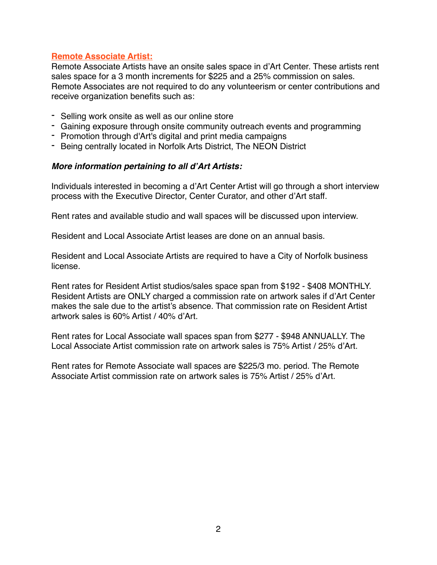## **Remote Associate Artist:**

Remote Associate Artists have an onsite sales space in d'Art Center. These artists rent sales space for a 3 month increments for \$225 and a 25% commission on sales. Remote Associates are not required to do any volunteerism or center contributions and receive organization benefits such as:

- Selling work onsite as well as our online store
- Gaining exposure through onsite community outreach events and programming
- Promotion through d'Art's digital and print media campaigns
- Being centrally located in Norfolk Arts District, The NEON District

#### *More information pertaining to all d'Art Artists:*

Individuals interested in becoming a d'Art Center Artist will go through a short interview process with the Executive Director, Center Curator, and other d'Art staff.

Rent rates and available studio and wall spaces will be discussed upon interview.

Resident and Local Associate Artist leases are done on an annual basis.

Resident and Local Associate Artists are required to have a City of Norfolk business license.

Rent rates for Resident Artist studios/sales space span from \$192 - \$408 MONTHLY. Resident Artists are ONLY charged a commission rate on artwork sales if d'Art Center makes the sale due to the artist's absence. That commission rate on Resident Artist artwork sales is 60% Artist / 40% d'Art.

Rent rates for Local Associate wall spaces span from \$277 - \$948 ANNUALLY. The Local Associate Artist commission rate on artwork sales is 75% Artist / 25% d'Art.

Rent rates for Remote Associate wall spaces are \$225/3 mo. period. The Remote Associate Artist commission rate on artwork sales is 75% Artist / 25% d'Art.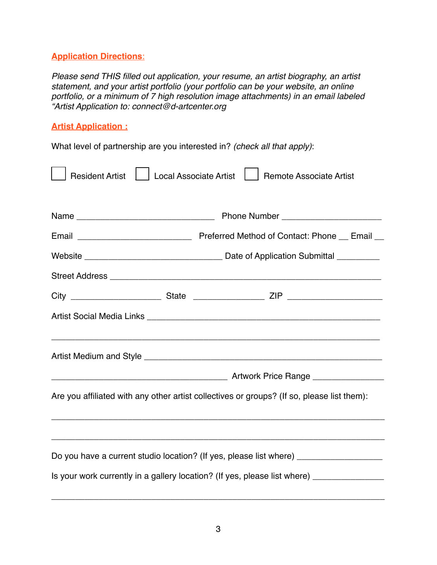# **Application Directions**:

*Please send THIS filled out application, your resume, an artist biography, an artist statement, and your artist portfolio (your portfolio can be your website, an online portfolio, or a minimum of 7 high resolution image attachments) in an email labeled "Artist Application to: connect@d-artcenter.org*

# **Artist Application :**

What level of partnership are you interested in? *(check all that apply)*:

| <b>Resident Artist</b>                                                                     | <b>Local Associate Artist</b><br><b>Remote Associate Artist</b> |
|--------------------------------------------------------------------------------------------|-----------------------------------------------------------------|
|                                                                                            |                                                                 |
|                                                                                            |                                                                 |
|                                                                                            |                                                                 |
|                                                                                            |                                                                 |
|                                                                                            |                                                                 |
|                                                                                            |                                                                 |
|                                                                                            |                                                                 |
|                                                                                            |                                                                 |
| Are you affiliated with any other artist collectives or groups? (If so, please list them): |                                                                 |
|                                                                                            |                                                                 |
| Do you have a current studio location? (If yes, please list where) ______________          |                                                                 |
| Is your work currently in a gallery location? (If yes, please list where) _____________    |                                                                 |

\_\_\_\_\_\_\_\_\_\_\_\_\_\_\_\_\_\_\_\_\_\_\_\_\_\_\_\_\_\_\_\_\_\_\_\_\_\_\_\_\_\_\_\_\_\_\_\_\_\_\_\_\_\_\_\_\_\_\_\_\_\_\_\_\_\_\_\_\_\_